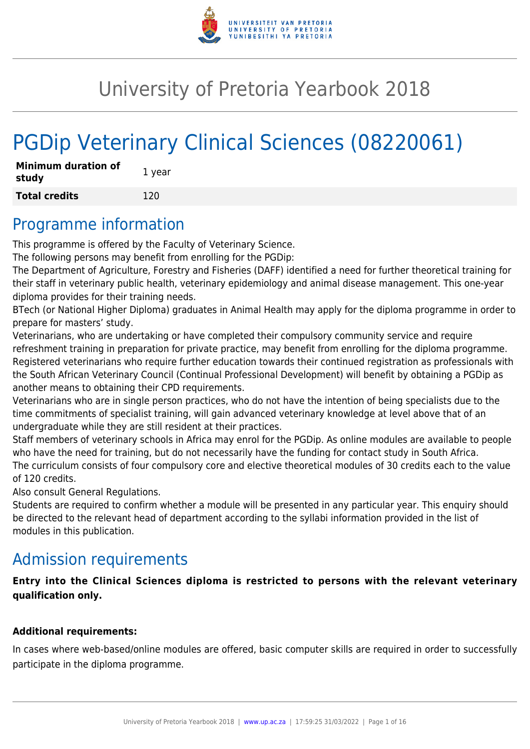

# University of Pretoria Yearbook 2018

# PGDip Veterinary Clinical Sciences (08220061)

| <b>Minimum duration of</b><br>study | 1 year |
|-------------------------------------|--------|
| <b>Total credits</b>                | 120    |

## Programme information

This programme is offered by the Faculty of Veterinary Science.

The following persons may benefit from enrolling for the PGDip:

The Department of Agriculture, Forestry and Fisheries (DAFF) identified a need for further theoretical training for their staff in veterinary public health, veterinary epidemiology and animal disease management. This one-year diploma provides for their training needs.

BTech (or National Higher Diploma) graduates in Animal Health may apply for the diploma programme in order to prepare for masters' study.

Veterinarians, who are undertaking or have completed their compulsory community service and require refreshment training in preparation for private practice, may benefit from enrolling for the diploma programme. Registered veterinarians who require further education towards their continued registration as professionals with the South African Veterinary Council (Continual Professional Development) will benefit by obtaining a PGDip as another means to obtaining their CPD requirements.

Veterinarians who are in single person practices, who do not have the intention of being specialists due to the time commitments of specialist training, will gain advanced veterinary knowledge at level above that of an undergraduate while they are still resident at their practices.

Staff members of veterinary schools in Africa may enrol for the PGDip. As online modules are available to people who have the need for training, but do not necessarily have the funding for contact study in South Africa. The curriculum consists of four compulsory core and elective theoretical modules of 30 credits each to the value of 120 credits.

Also consult General Regulations.

Students are required to confirm whether a module will be presented in any particular year. This enquiry should be directed to the relevant head of department according to the syllabi information provided in the list of modules in this publication.

## Admission requirements

**Entry into the Clinical Sciences diploma is restricted to persons with the relevant veterinary qualification only.**

## **Additional requirements:**

In cases where web-based/online modules are offered, basic computer skills are required in order to successfully participate in the diploma programme.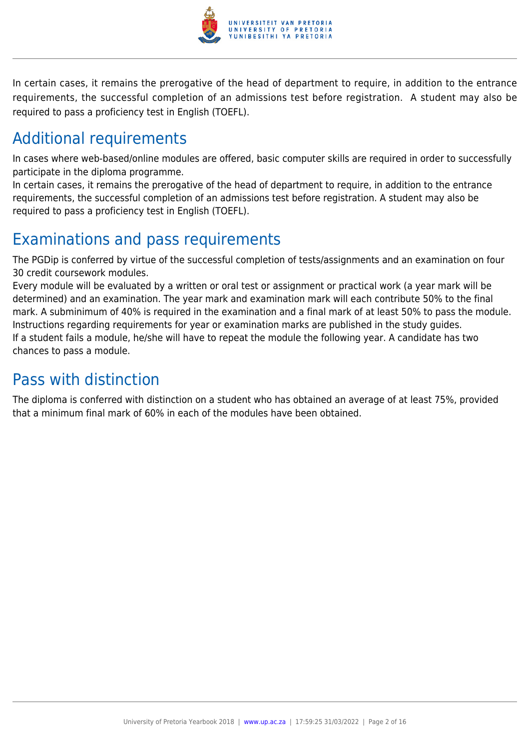

In certain cases, it remains the prerogative of the head of department to require, in addition to the entrance requirements, the successful completion of an admissions test before registration. A student may also be required to pass a proficiency test in English (TOEFL).

## Additional requirements

In cases where web-based/online modules are offered, basic computer skills are required in order to successfully participate in the diploma programme.

In certain cases, it remains the prerogative of the head of department to require, in addition to the entrance requirements, the successful completion of an admissions test before registration. A student may also be required to pass a proficiency test in English (TOEFL).

## Examinations and pass requirements

The PGDip is conferred by virtue of the successful completion of tests/assignments and an examination on four 30 credit coursework modules.

Every module will be evaluated by a written or oral test or assignment or practical work (a year mark will be determined) and an examination. The year mark and examination mark will each contribute 50% to the final mark. A subminimum of 40% is required in the examination and a final mark of at least 50% to pass the module. Instructions regarding requirements for year or examination marks are published in the study guides. If a student fails a module, he/she will have to repeat the module the following year. A candidate has two chances to pass a module.

## Pass with distinction

The diploma is conferred with distinction on a student who has obtained an average of at least 75%, provided that a minimum final mark of 60% in each of the modules have been obtained.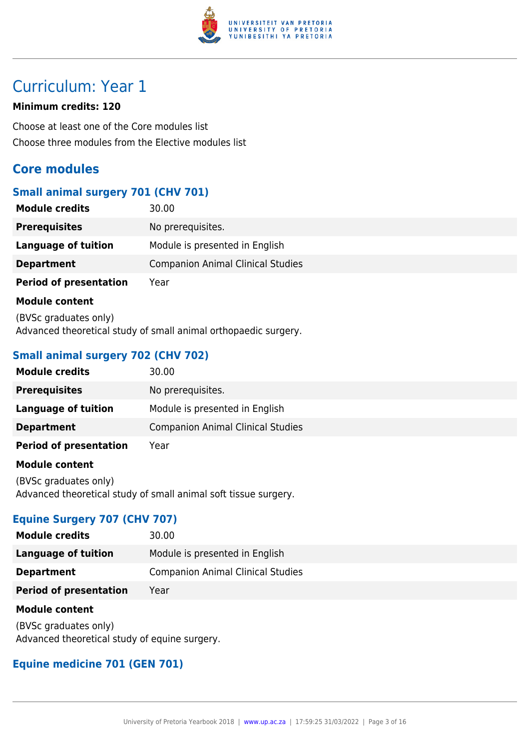

## Curriculum: Year 1

#### **Minimum credits: 120**

Choose at least one of the Core modules list Choose three modules from the Elective modules list

## **Core modules**

## **Small animal surgery 701 (CHV 701)**

| <b>Module credits</b>         | 30.00                                    |
|-------------------------------|------------------------------------------|
| <b>Prerequisites</b>          | No prerequisites.                        |
| Language of tuition           | Module is presented in English           |
| <b>Department</b>             | <b>Companion Animal Clinical Studies</b> |
| <b>Period of presentation</b> | Year                                     |

#### **Module content**

(BVSc graduates only) Advanced theoretical study of small animal orthopaedic surgery.

## **Small animal surgery 702 (CHV 702)**

| <b>Module credits</b>         | 30.00                                    |
|-------------------------------|------------------------------------------|
| <b>Prerequisites</b>          | No prerequisites.                        |
| Language of tuition           | Module is presented in English           |
| <b>Department</b>             | <b>Companion Animal Clinical Studies</b> |
| <b>Period of presentation</b> | Year                                     |
| <b>Madula assistant</b>       |                                          |

#### **Module content**

(BVSc graduates only) Advanced theoretical study of small animal soft tissue surgery.

## **Equine Surgery 707 (CHV 707)**

| <b>Module credits</b>         | 30.00                                    |
|-------------------------------|------------------------------------------|
| Language of tuition           | Module is presented in English           |
| <b>Department</b>             | <b>Companion Animal Clinical Studies</b> |
| <b>Period of presentation</b> | Year                                     |

#### **Module content**

(BVSc graduates only) Advanced theoretical study of equine surgery.

## **Equine medicine 701 (GEN 701)**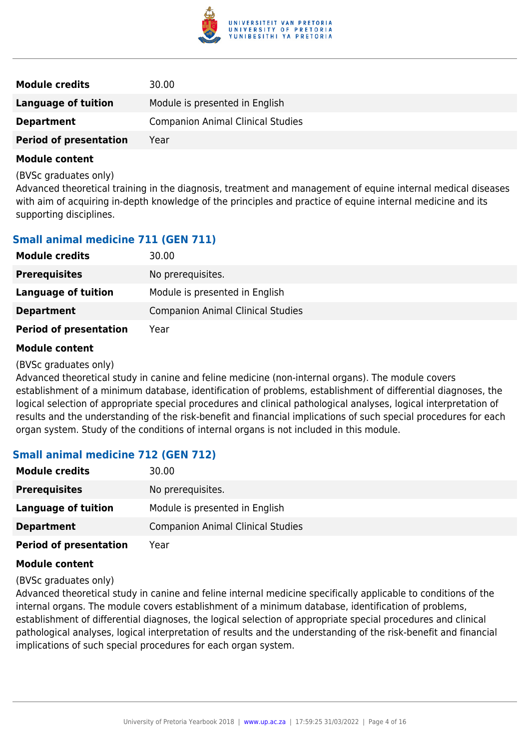

| <b>Module credits</b>         | 30.00                                    |
|-------------------------------|------------------------------------------|
| <b>Language of tuition</b>    | Module is presented in English           |
| <b>Department</b>             | <b>Companion Animal Clinical Studies</b> |
| <b>Period of presentation</b> | Year                                     |

(BVSc graduates only)

Advanced theoretical training in the diagnosis, treatment and management of equine internal medical diseases with aim of acquiring in-depth knowledge of the principles and practice of equine internal medicine and its supporting disciplines.

## **Small animal medicine 711 (GEN 711)**

| <b>Module credits</b>         | 30.00                                    |
|-------------------------------|------------------------------------------|
| <b>Prerequisites</b>          | No prerequisites.                        |
| Language of tuition           | Module is presented in English           |
| <b>Department</b>             | <b>Companion Animal Clinical Studies</b> |
| <b>Period of presentation</b> | Year                                     |

#### **Module content**

(BVSc graduates only)

Advanced theoretical study in canine and feline medicine (non-internal organs). The module covers establishment of a minimum database, identification of problems, establishment of differential diagnoses, the logical selection of appropriate special procedures and clinical pathological analyses, logical interpretation of results and the understanding of the risk-benefit and financial implications of such special procedures for each organ system. Study of the conditions of internal organs is not included in this module.

## **Small animal medicine 712 (GEN 712)**

| <b>Module credits</b>         | 30.00                                    |
|-------------------------------|------------------------------------------|
| <b>Prerequisites</b>          | No prerequisites.                        |
| Language of tuition           | Module is presented in English           |
| <b>Department</b>             | <b>Companion Animal Clinical Studies</b> |
| <b>Period of presentation</b> | Year                                     |

#### **Module content**

(BVSc graduates only)

Advanced theoretical study in canine and feline internal medicine specifically applicable to conditions of the internal organs. The module covers establishment of a minimum database, identification of problems, establishment of differential diagnoses, the logical selection of appropriate special procedures and clinical pathological analyses, logical interpretation of results and the understanding of the risk-benefit and financial implications of such special procedures for each organ system.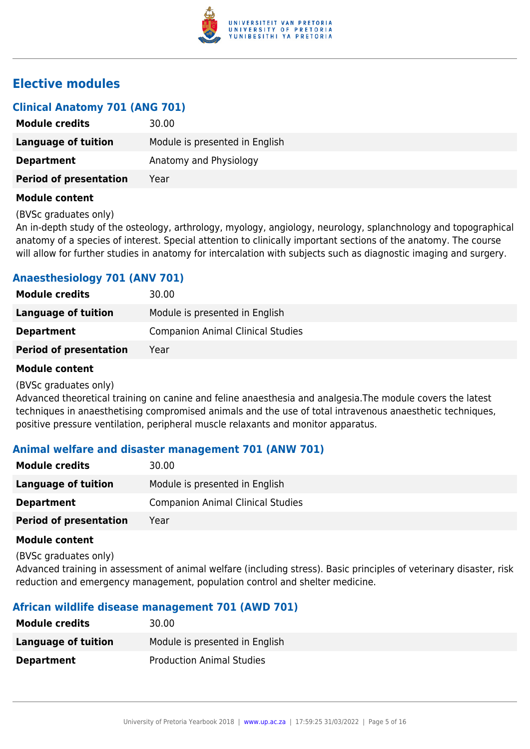

## **Elective modules**

| <b>Clinical Anatomy 701 (ANG 701)</b> |                                |
|---------------------------------------|--------------------------------|
| <b>Module credits</b>                 | 30.00                          |
| Language of tuition                   | Module is presented in English |
| <b>Department</b>                     | Anatomy and Physiology         |
| <b>Period of presentation</b>         | Year                           |
|                                       |                                |

#### **Module content**

(BVSc graduates only)

An in-depth study of the osteology, arthrology, myology, angiology, neurology, splanchnology and topographical anatomy of a species of interest. Special attention to clinically important sections of the anatomy. The course will allow for further studies in anatomy for intercalation with subjects such as diagnostic imaging and surgery.

## **Anaesthesiology 701 (ANV 701)**

| <b>Module credits</b>         | 30.00                                    |
|-------------------------------|------------------------------------------|
| Language of tuition           | Module is presented in English           |
| <b>Department</b>             | <b>Companion Animal Clinical Studies</b> |
| <b>Period of presentation</b> | Year                                     |

#### **Module content**

(BVSc graduates only)

Advanced theoretical training on canine and feline anaesthesia and analgesia.The module covers the latest techniques in anaesthetising compromised animals and the use of total intravenous anaesthetic techniques, positive pressure ventilation, peripheral muscle relaxants and monitor apparatus.

## **Animal welfare and disaster management 701 (ANW 701)**

| <b>Module credits</b>         | 30.00                                    |
|-------------------------------|------------------------------------------|
| Language of tuition           | Module is presented in English           |
| <b>Department</b>             | <b>Companion Animal Clinical Studies</b> |
| <b>Period of presentation</b> | Year                                     |

#### **Module content**

(BVSc graduates only)

Advanced training in assessment of animal welfare (including stress). Basic principles of veterinary disaster, risk reduction and emergency management, population control and shelter medicine.

## **African wildlife disease management 701 (AWD 701)**

| <b>Module credits</b> | 30.00                            |
|-----------------------|----------------------------------|
| Language of tuition   | Module is presented in English   |
| <b>Department</b>     | <b>Production Animal Studies</b> |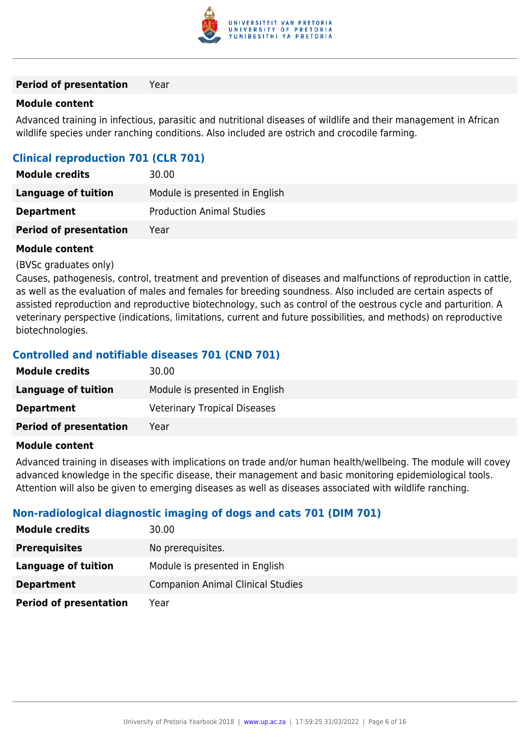

#### **Period of presentation** Year

#### **Module content**

Advanced training in infectious, parasitic and nutritional diseases of wildlife and their management in African wildlife species under ranching conditions. Also included are ostrich and crocodile farming.

## **Clinical reproduction 701 (CLR 701)**

| <b>Module credits</b>         | 30.00                            |
|-------------------------------|----------------------------------|
| Language of tuition           | Module is presented in English   |
| <b>Department</b>             | <b>Production Animal Studies</b> |
| <b>Period of presentation</b> | Year                             |

#### **Module content**

#### (BVSc graduates only)

Causes, pathogenesis, control, treatment and prevention of diseases and malfunctions of reproduction in cattle, as well as the evaluation of males and females for breeding soundness. Also included are certain aspects of assisted reproduction and reproductive biotechnology, such as control of the oestrous cycle and parturition. A veterinary perspective (indications, limitations, current and future possibilities, and methods) on reproductive biotechnologies.

## **Controlled and notifiable diseases 701 (CND 701)**

| <b>Module credits</b>         | 30.00                               |
|-------------------------------|-------------------------------------|
| Language of tuition           | Module is presented in English      |
| <b>Department</b>             | <b>Veterinary Tropical Diseases</b> |
| <b>Period of presentation</b> | Year                                |
|                               |                                     |

#### **Module content**

Advanced training in diseases with implications on trade and/or human health/wellbeing. The module will covey advanced knowledge in the specific disease, their management and basic monitoring epidemiological tools. Attention will also be given to emerging diseases as well as diseases associated with wildlife ranching.

## **Non-radiological diagnostic imaging of dogs and cats 701 (DIM 701)**

| <b>Module credits</b>         | 30.00                                    |
|-------------------------------|------------------------------------------|
| <b>Prerequisites</b>          | No prerequisites.                        |
| Language of tuition           | Module is presented in English           |
| <b>Department</b>             | <b>Companion Animal Clinical Studies</b> |
| <b>Period of presentation</b> | Year                                     |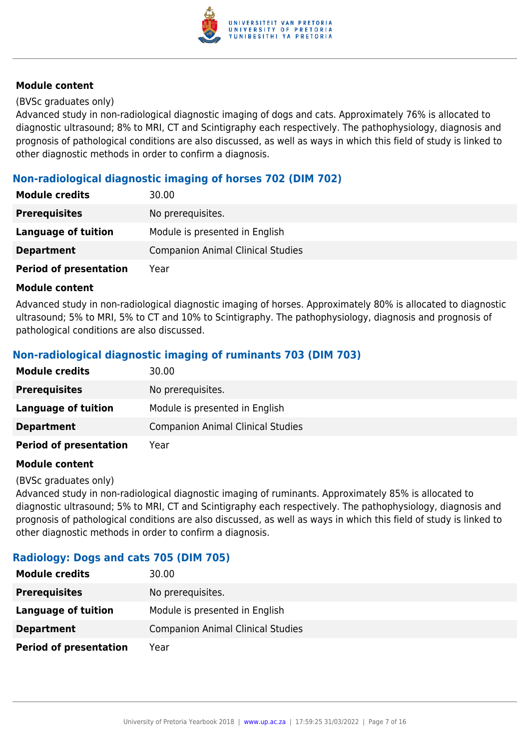

#### (BVSc graduates only)

Advanced study in non-radiological diagnostic imaging of dogs and cats. Approximately 76% is allocated to diagnostic ultrasound; 8% to MRI, CT and Scintigraphy each respectively. The pathophysiology, diagnosis and prognosis of pathological conditions are also discussed, as well as ways in which this field of study is linked to other diagnostic methods in order to confirm a diagnosis.

## **Non-radiological diagnostic imaging of horses 702 (DIM 702)**

| <b>Module credits</b>         | 30.00                                    |
|-------------------------------|------------------------------------------|
| <b>Prerequisites</b>          | No prerequisites.                        |
| Language of tuition           | Module is presented in English           |
| <b>Department</b>             | <b>Companion Animal Clinical Studies</b> |
| <b>Period of presentation</b> | Year                                     |

#### **Module content**

Advanced study in non-radiological diagnostic imaging of horses. Approximately 80% is allocated to diagnostic ultrasound; 5% to MRI, 5% to CT and 10% to Scintigraphy. The pathophysiology, diagnosis and prognosis of pathological conditions are also discussed.

## **Non-radiological diagnostic imaging of ruminants 703 (DIM 703)**

| <b>Module credits</b>         | 30.00                                    |
|-------------------------------|------------------------------------------|
| <b>Prerequisites</b>          | No prerequisites.                        |
| Language of tuition           | Module is presented in English           |
| <b>Department</b>             | <b>Companion Animal Clinical Studies</b> |
| <b>Period of presentation</b> | Year                                     |

#### **Module content**

#### (BVSc graduates only)

Advanced study in non-radiological diagnostic imaging of ruminants. Approximately 85% is allocated to diagnostic ultrasound; 5% to MRI, CT and Scintigraphy each respectively. The pathophysiology, diagnosis and prognosis of pathological conditions are also discussed, as well as ways in which this field of study is linked to other diagnostic methods in order to confirm a diagnosis.

#### **Radiology: Dogs and cats 705 (DIM 705)**

| <b>Module credits</b>         | 30.00                                    |
|-------------------------------|------------------------------------------|
| <b>Prerequisites</b>          | No prerequisites.                        |
| Language of tuition           | Module is presented in English           |
| <b>Department</b>             | <b>Companion Animal Clinical Studies</b> |
| <b>Period of presentation</b> | Year                                     |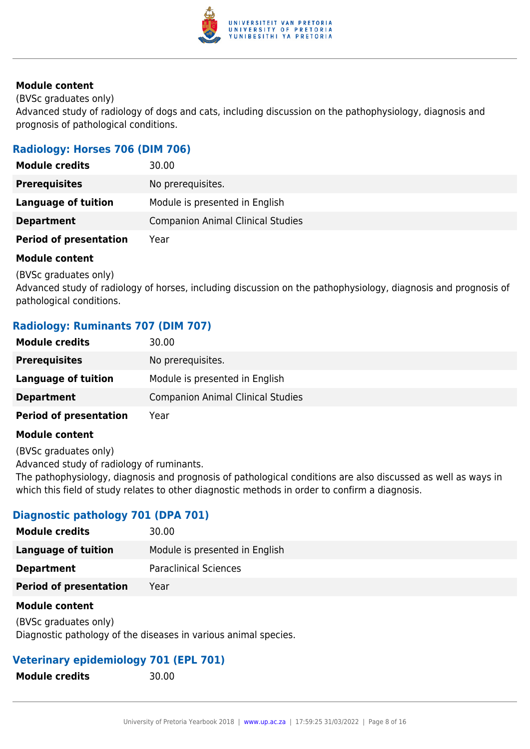

(BVSc graduates only)

Advanced study of radiology of dogs and cats, including discussion on the pathophysiology, diagnosis and prognosis of pathological conditions.

## **Radiology: Horses 706 (DIM 706)**

| <b>Module credits</b>         | 30.00                                    |
|-------------------------------|------------------------------------------|
| <b>Prerequisites</b>          | No prerequisites.                        |
| Language of tuition           | Module is presented in English           |
| <b>Department</b>             | <b>Companion Animal Clinical Studies</b> |
| <b>Period of presentation</b> | Year                                     |

#### **Module content**

(BVSc graduates only)

Advanced study of radiology of horses, including discussion on the pathophysiology, diagnosis and prognosis of pathological conditions.

## **Radiology: Ruminants 707 (DIM 707)**

| <b>Module credits</b>         | 30.00                                    |
|-------------------------------|------------------------------------------|
| <b>Prerequisites</b>          | No prerequisites.                        |
| Language of tuition           | Module is presented in English           |
| <b>Department</b>             | <b>Companion Animal Clinical Studies</b> |
| <b>Period of presentation</b> | Year                                     |

#### **Module content**

(BVSc graduates only)

Advanced study of radiology of ruminants.

The pathophysiology, diagnosis and prognosis of pathological conditions are also discussed as well as ways in which this field of study relates to other diagnostic methods in order to confirm a diagnosis.

## **Diagnostic pathology 701 (DPA 701)**

| <b>Module credits</b>         | 30.00                          |
|-------------------------------|--------------------------------|
| Language of tuition           | Module is presented in English |
| <b>Department</b>             | <b>Paraclinical Sciences</b>   |
| <b>Period of presentation</b> | Year                           |
|                               |                                |

#### **Module content**

(BVSc graduates only) Diagnostic pathology of the diseases in various animal species.

## **Veterinary epidemiology 701 (EPL 701)**

**Module credits** 30.00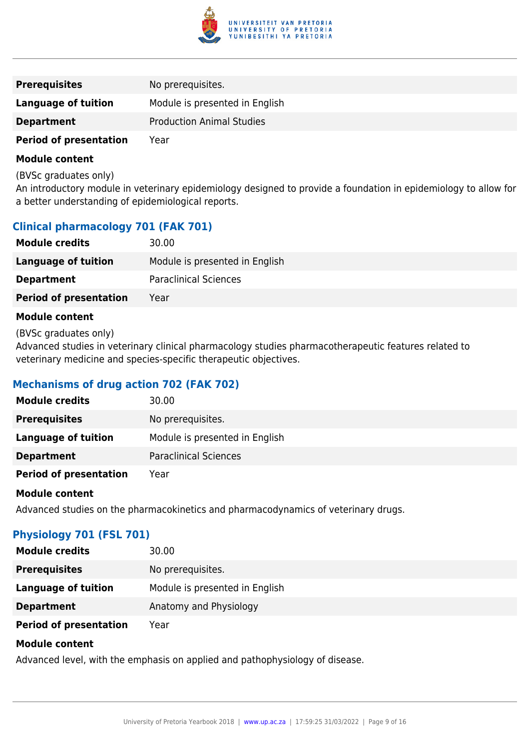

| <b>Prerequisites</b>          | No prerequisites.                |
|-------------------------------|----------------------------------|
| Language of tuition           | Module is presented in English   |
| <b>Department</b>             | <b>Production Animal Studies</b> |
| <b>Period of presentation</b> | Year                             |

(BVSc graduates only)

An introductory module in veterinary epidemiology designed to provide a foundation in epidemiology to allow for a better understanding of epidemiological reports.

## **Clinical pharmacology 701 (FAK 701)**

| <b>Module credits</b>         | 30.00                          |
|-------------------------------|--------------------------------|
| Language of tuition           | Module is presented in English |
| <b>Department</b>             | <b>Paraclinical Sciences</b>   |
| <b>Period of presentation</b> | Year                           |

#### **Module content**

(BVSc graduates only)

Advanced studies in veterinary clinical pharmacology studies pharmacotherapeutic features related to veterinary medicine and species-specific therapeutic objectives.

## **Mechanisms of drug action 702 (FAK 702)**

| <b>Module credits</b>         | 30.00                          |
|-------------------------------|--------------------------------|
| <b>Prerequisites</b>          | No prerequisites.              |
| <b>Language of tuition</b>    | Module is presented in English |
| <b>Department</b>             | <b>Paraclinical Sciences</b>   |
| <b>Period of presentation</b> | Year                           |

#### **Module content**

Advanced studies on the pharmacokinetics and pharmacodynamics of veterinary drugs.

## **Physiology 701 (FSL 701)**

| <b>Module credits</b>         | 30.00                          |
|-------------------------------|--------------------------------|
| <b>Prerequisites</b>          | No prerequisites.              |
| Language of tuition           | Module is presented in English |
| <b>Department</b>             | Anatomy and Physiology         |
| <b>Period of presentation</b> | Year                           |

#### **Module content**

Advanced level, with the emphasis on applied and pathophysiology of disease.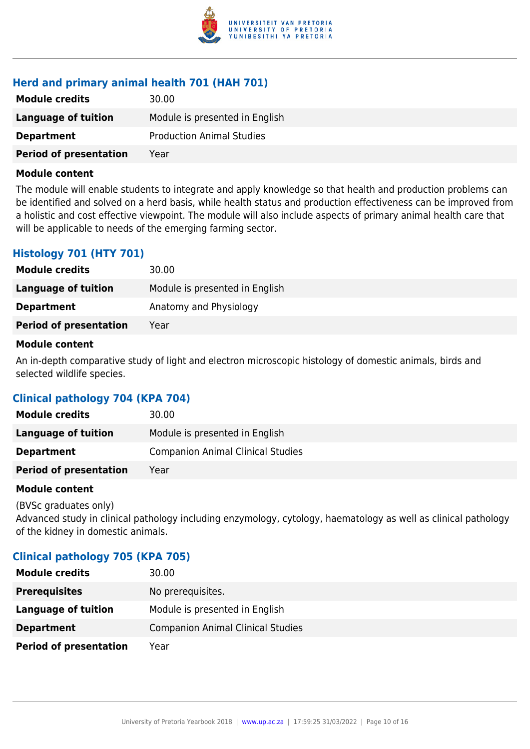

## **Herd and primary animal health 701 (HAH 701)**

| <b>Module credits</b>         | 30.00                            |
|-------------------------------|----------------------------------|
| Language of tuition           | Module is presented in English   |
| <b>Department</b>             | <b>Production Animal Studies</b> |
| <b>Period of presentation</b> | Year                             |

#### **Module content**

The module will enable students to integrate and apply knowledge so that health and production problems can be identified and solved on a herd basis, while health status and production effectiveness can be improved from a holistic and cost effective viewpoint. The module will also include aspects of primary animal health care that will be applicable to needs of the emerging farming sector.

## **Histology 701 (HTY 701)**

| <b>Module credits</b>         | 30.00                          |
|-------------------------------|--------------------------------|
| <b>Language of tuition</b>    | Module is presented in English |
| <b>Department</b>             | Anatomy and Physiology         |
| <b>Period of presentation</b> | Year                           |

#### **Module content**

An in-depth comparative study of light and electron microscopic histology of domestic animals, birds and selected wildlife species.

## **Clinical pathology 704 (KPA 704)**

| <b>Module credits</b>         | 30.00                                    |
|-------------------------------|------------------------------------------|
| Language of tuition           | Module is presented in English           |
| <b>Department</b>             | <b>Companion Animal Clinical Studies</b> |
| <b>Period of presentation</b> | Year                                     |

#### **Module content**

(BVSc graduates only) Advanced study in clinical pathology including enzymology, cytology, haematology as well as clinical pathology of the kidney in domestic animals.

## **Clinical pathology 705 (KPA 705)**

| <b>Module credits</b>         | 30.00                                    |
|-------------------------------|------------------------------------------|
| <b>Prerequisites</b>          | No prerequisites.                        |
| Language of tuition           | Module is presented in English           |
| <b>Department</b>             | <b>Companion Animal Clinical Studies</b> |
| <b>Period of presentation</b> | Year                                     |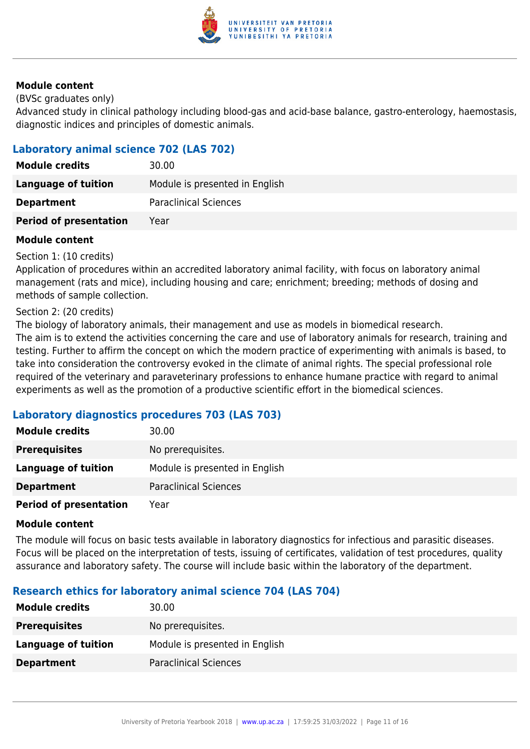

(BVSc graduates only)

Advanced study in clinical pathology including blood-gas and acid-base balance, gastro-enterology, haemostasis, diagnostic indices and principles of domestic animals.

## **Laboratory animal science 702 (LAS 702)**

| <b>Module credits</b>         | 30.00                          |
|-------------------------------|--------------------------------|
| Language of tuition           | Module is presented in English |
| <b>Department</b>             | <b>Paraclinical Sciences</b>   |
| <b>Period of presentation</b> | Year                           |

#### **Module content**

Section 1: (10 credits)

Application of procedures within an accredited laboratory animal facility, with focus on laboratory animal management (rats and mice), including housing and care; enrichment; breeding; methods of dosing and methods of sample collection.

#### Section 2: (20 credits)

The biology of laboratory animals, their management and use as models in biomedical research. The aim is to extend the activities concerning the care and use of laboratory animals for research, training and testing. Further to affirm the concept on which the modern practice of experimenting with animals is based, to take into consideration the controversy evoked in the climate of animal rights. The special professional role required of the veterinary and paraveterinary professions to enhance humane practice with regard to animal experiments as well as the promotion of a productive scientific effort in the biomedical sciences.

## **Laboratory diagnostics procedures 703 (LAS 703)**

| <b>Module credits</b>         | 30.00                          |
|-------------------------------|--------------------------------|
| <b>Prerequisites</b>          | No prerequisites.              |
| Language of tuition           | Module is presented in English |
| <b>Department</b>             | <b>Paraclinical Sciences</b>   |
| <b>Period of presentation</b> | Year                           |

#### **Module content**

The module will focus on basic tests available in laboratory diagnostics for infectious and parasitic diseases. Focus will be placed on the interpretation of tests, issuing of certificates, validation of test procedures, quality assurance and laboratory safety. The course will include basic within the laboratory of the department.

## **Research ethics for laboratory animal science 704 (LAS 704)**

| <b>Module credits</b>      | 30.00                          |
|----------------------------|--------------------------------|
| <b>Prerequisites</b>       | No prerequisites.              |
| <b>Language of tuition</b> | Module is presented in English |
| <b>Department</b>          | <b>Paraclinical Sciences</b>   |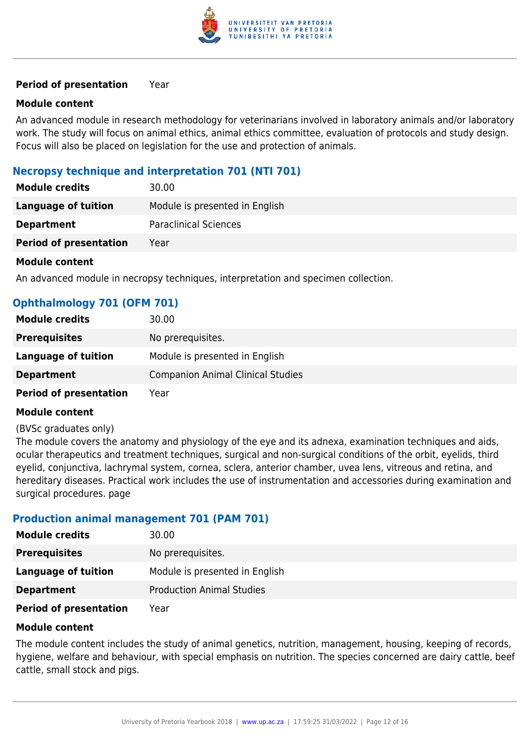

#### **Period of presentation** Year

#### **Module content**

An advanced module in research methodology for veterinarians involved in laboratory animals and/or laboratory work. The study will focus on animal ethics, animal ethics committee, evaluation of protocols and study design. Focus will also be placed on legislation for the use and protection of animals.

### **Necropsy technique and interpretation 701 (NTI 701)**

| <b>Module credits</b>         | 30.00                          |
|-------------------------------|--------------------------------|
| Language of tuition           | Module is presented in English |
| <b>Department</b>             | <b>Paraclinical Sciences</b>   |
| <b>Period of presentation</b> | Year                           |
|                               |                                |

#### **Module content**

An advanced module in necropsy techniques, interpretation and specimen collection.

| <b>Ophthalmology 701 (OFM 701)</b> |  |  |
|------------------------------------|--|--|
|                                    |  |  |

| <b>Module credits</b>         | 30.00                                    |
|-------------------------------|------------------------------------------|
| <b>Prerequisites</b>          | No prerequisites.                        |
| Language of tuition           | Module is presented in English           |
| <b>Department</b>             | <b>Companion Animal Clinical Studies</b> |
| <b>Period of presentation</b> | Year                                     |

#### **Module content**

#### (BVSc graduates only)

The module covers the anatomy and physiology of the eye and its adnexa, examination techniques and aids, ocular therapeutics and treatment techniques, surgical and non-surgical conditions of the orbit, eyelids, third eyelid, conjunctiva, lachrymal system, cornea, sclera, anterior chamber, uvea lens, vitreous and retina, and hereditary diseases. Practical work includes the use of instrumentation and accessories during examination and surgical procedures. page

#### **Production animal management 701 (PAM 701)**

| <b>Module credits</b>         | 30.00                            |
|-------------------------------|----------------------------------|
| <b>Prerequisites</b>          | No prerequisites.                |
| Language of tuition           | Module is presented in English   |
| <b>Department</b>             | <b>Production Animal Studies</b> |
| <b>Period of presentation</b> | Year                             |

#### **Module content**

The module content includes the study of animal genetics, nutrition, management, housing, keeping of records, hygiene, welfare and behaviour, with special emphasis on nutrition. The species concerned are dairy cattle, beef cattle, small stock and pigs.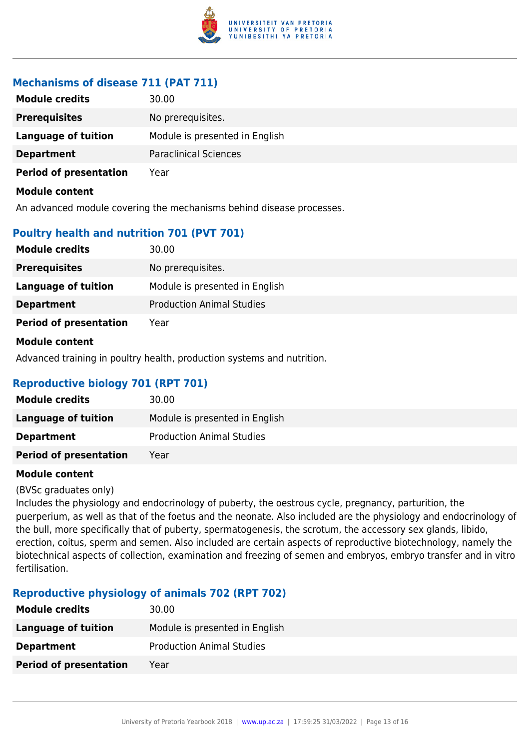

## **Mechanisms of disease 711 (PAT 711)**

| <b>Module credits</b>         | 30.00                          |
|-------------------------------|--------------------------------|
| <b>Prerequisites</b>          | No prerequisites.              |
| <b>Language of tuition</b>    | Module is presented in English |
| <b>Department</b>             | <b>Paraclinical Sciences</b>   |
| <b>Period of presentation</b> | Year                           |
| Module content                |                                |

An advanced module covering the mechanisms behind disease processes.

## **Poultry health and nutrition 701 (PVT 701)**

| <b>Module credits</b>         | 30.00                            |
|-------------------------------|----------------------------------|
| <b>Prerequisites</b>          | No prerequisites.                |
| Language of tuition           | Module is presented in English   |
| <b>Department</b>             | <b>Production Animal Studies</b> |
| <b>Period of presentation</b> | Year                             |
| Module content                |                                  |

Advanced training in poultry health, production systems and nutrition.

## **Reproductive biology 701 (RPT 701)**

| <b>Module credits</b>         | 30.00                            |
|-------------------------------|----------------------------------|
| Language of tuition           | Module is presented in English   |
| <b>Department</b>             | <b>Production Animal Studies</b> |
| <b>Period of presentation</b> | Year                             |

#### **Module content**

(BVSc graduates only)

Includes the physiology and endocrinology of puberty, the oestrous cycle, pregnancy, parturition, the puerperium, as well as that of the foetus and the neonate. Also included are the physiology and endocrinology of the bull, more specifically that of puberty, spermatogenesis, the scrotum, the accessory sex glands, libido, erection, coitus, sperm and semen. Also included are certain aspects of reproductive biotechnology, namely the biotechnical aspects of collection, examination and freezing of semen and embryos, embryo transfer and in vitro fertilisation.

#### **Reproductive physiology of animals 702 (RPT 702)**

| <b>Module credits</b>         | 30.00                            |
|-------------------------------|----------------------------------|
| Language of tuition           | Module is presented in English   |
| <b>Department</b>             | <b>Production Animal Studies</b> |
| <b>Period of presentation</b> | Year                             |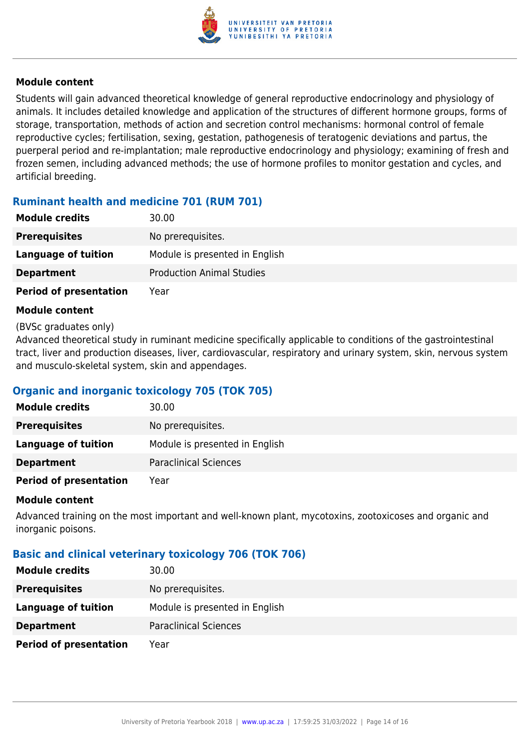

Students will gain advanced theoretical knowledge of general reproductive endocrinology and physiology of animals. It includes detailed knowledge and application of the structures of different hormone groups, forms of storage, transportation, methods of action and secretion control mechanisms: hormonal control of female reproductive cycles; fertilisation, sexing, gestation, pathogenesis of teratogenic deviations and partus, the puerperal period and re-implantation; male reproductive endocrinology and physiology; examining of fresh and frozen semen, including advanced methods; the use of hormone profiles to monitor gestation and cycles, and artificial breeding.

## **Ruminant health and medicine 701 (RUM 701)**

| <b>Module credits</b>         | 30.00                            |
|-------------------------------|----------------------------------|
| <b>Prerequisites</b>          | No prerequisites.                |
| Language of tuition           | Module is presented in English   |
| <b>Department</b>             | <b>Production Animal Studies</b> |
| <b>Period of presentation</b> | Year                             |

#### **Module content**

#### (BVSc graduates only)

Advanced theoretical study in ruminant medicine specifically applicable to conditions of the gastrointestinal tract, liver and production diseases, liver, cardiovascular, respiratory and urinary system, skin, nervous system and musculo-skeletal system, skin and appendages.

## **Organic and inorganic toxicology 705 (TOK 705)**

| <b>Module credits</b>         | 30.00                          |
|-------------------------------|--------------------------------|
| <b>Prerequisites</b>          | No prerequisites.              |
| <b>Language of tuition</b>    | Module is presented in English |
| <b>Department</b>             | <b>Paraclinical Sciences</b>   |
| <b>Period of presentation</b> | Year                           |

#### **Module content**

Advanced training on the most important and well-known plant, mycotoxins, zootoxicoses and organic and inorganic poisons.

## **Basic and clinical veterinary toxicology 706 (TOK 706)**

| <b>Module credits</b>         | 30.00                          |
|-------------------------------|--------------------------------|
| <b>Prerequisites</b>          | No prerequisites.              |
| Language of tuition           | Module is presented in English |
| <b>Department</b>             | <b>Paraclinical Sciences</b>   |
| <b>Period of presentation</b> | Year                           |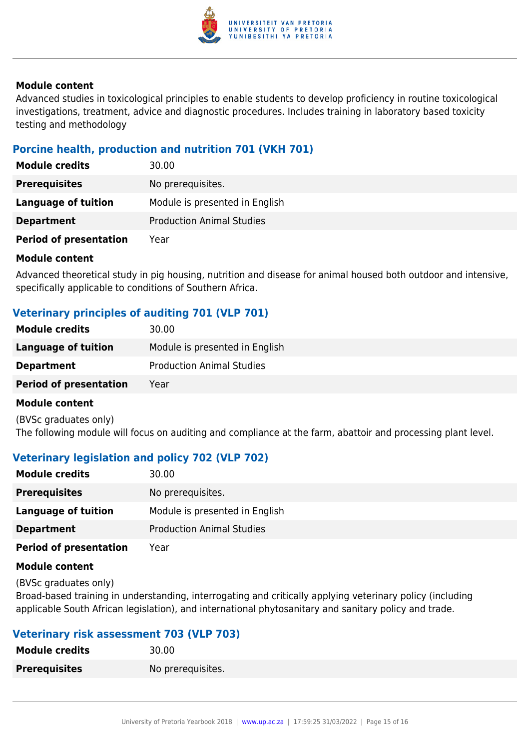

Advanced studies in toxicological principles to enable students to develop proficiency in routine toxicological investigations, treatment, advice and diagnostic procedures. Includes training in laboratory based toxicity testing and methodology

## **Porcine health, production and nutrition 701 (VKH 701)**

| <b>Module credits</b>         | 30.00                            |
|-------------------------------|----------------------------------|
| <b>Prerequisites</b>          | No prerequisites.                |
| Language of tuition           | Module is presented in English   |
| <b>Department</b>             | <b>Production Animal Studies</b> |
| <b>Period of presentation</b> | Year                             |

#### **Module content**

Advanced theoretical study in pig housing, nutrition and disease for animal housed both outdoor and intensive, specifically applicable to conditions of Southern Africa.

## **Veterinary principles of auditing 701 (VLP 701)**

| <b>Module credits</b>         | 30.00                            |
|-------------------------------|----------------------------------|
| Language of tuition           | Module is presented in English   |
| <b>Department</b>             | <b>Production Animal Studies</b> |
| <b>Period of presentation</b> | Year                             |
|                               |                                  |

#### **Module content**

(BVSc graduates only) The following module will focus on auditing and compliance at the farm, abattoir and processing plant level.

## **Veterinary legislation and policy 702 (VLP 702)**

| <b>Module credits</b>         | 30.00                            |
|-------------------------------|----------------------------------|
| <b>Prerequisites</b>          | No prerequisites.                |
| <b>Language of tuition</b>    | Module is presented in English   |
| <b>Department</b>             | <b>Production Animal Studies</b> |
| <b>Period of presentation</b> | Year                             |

#### **Module content**

(BVSc graduates only)

Broad-based training in understanding, interrogating and critically applying veterinary policy (including applicable South African legislation), and international phytosanitary and sanitary policy and trade.

## **Veterinary risk assessment 703 (VLP 703)**

| Module credits       | 30.00             |
|----------------------|-------------------|
| <b>Prerequisites</b> | No prerequisites. |